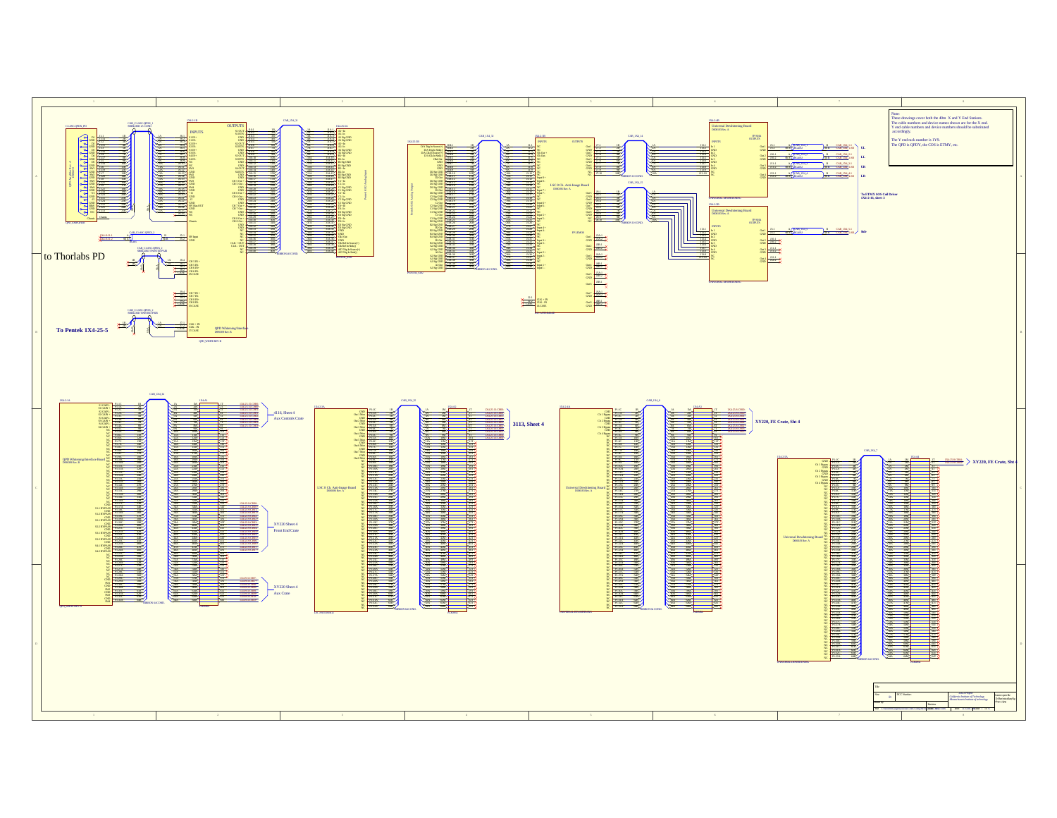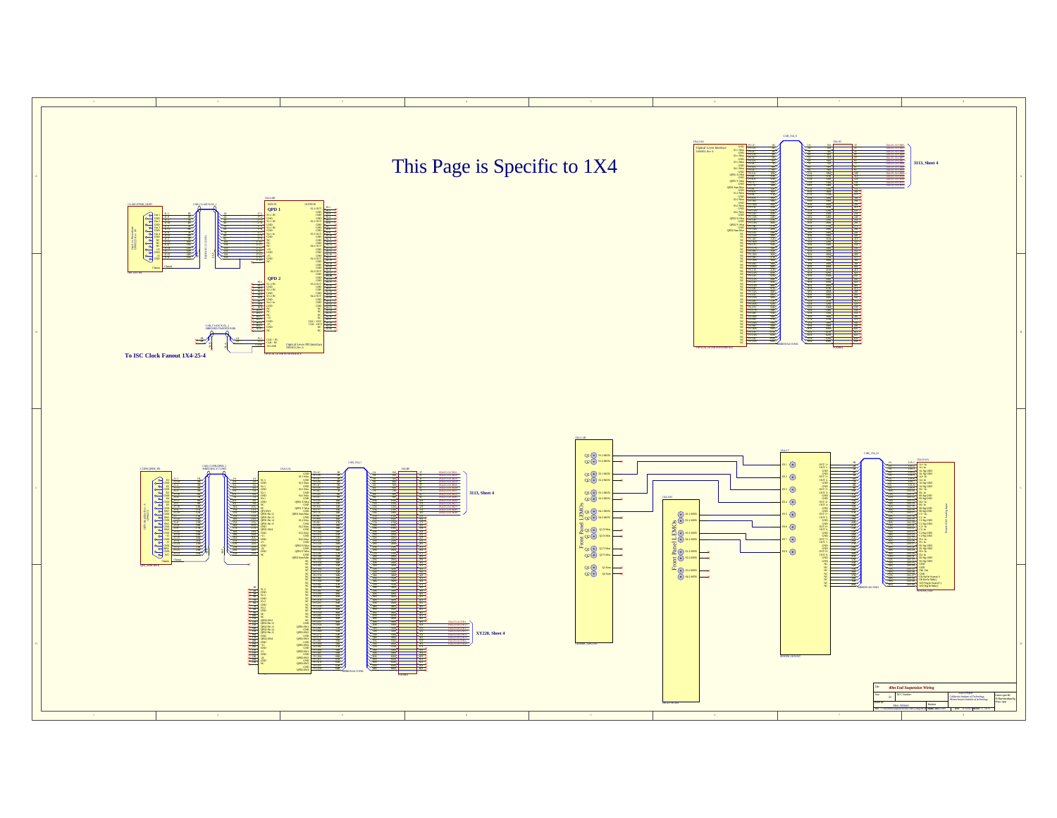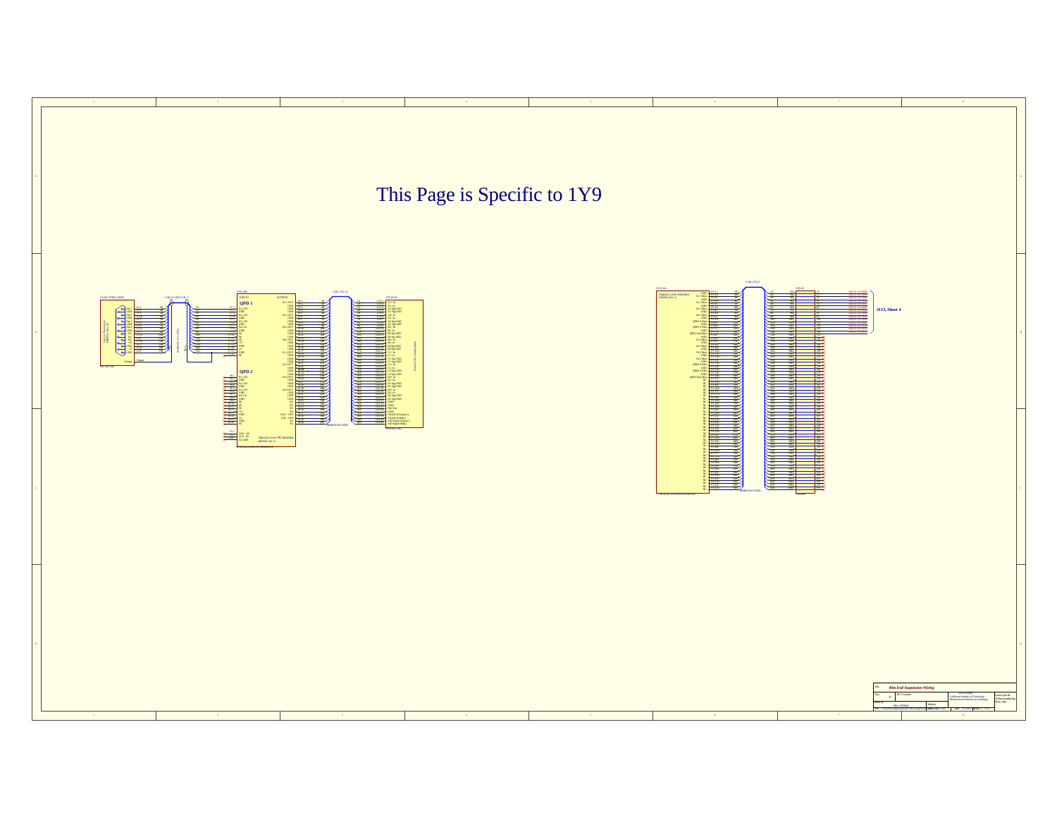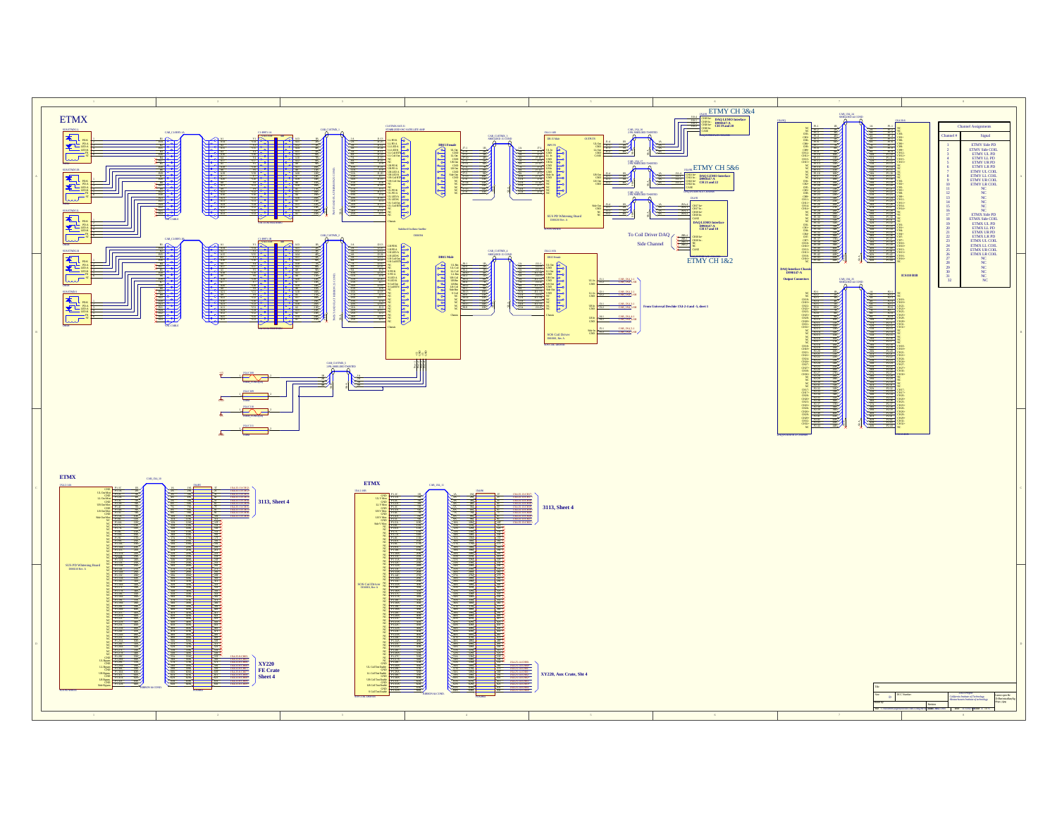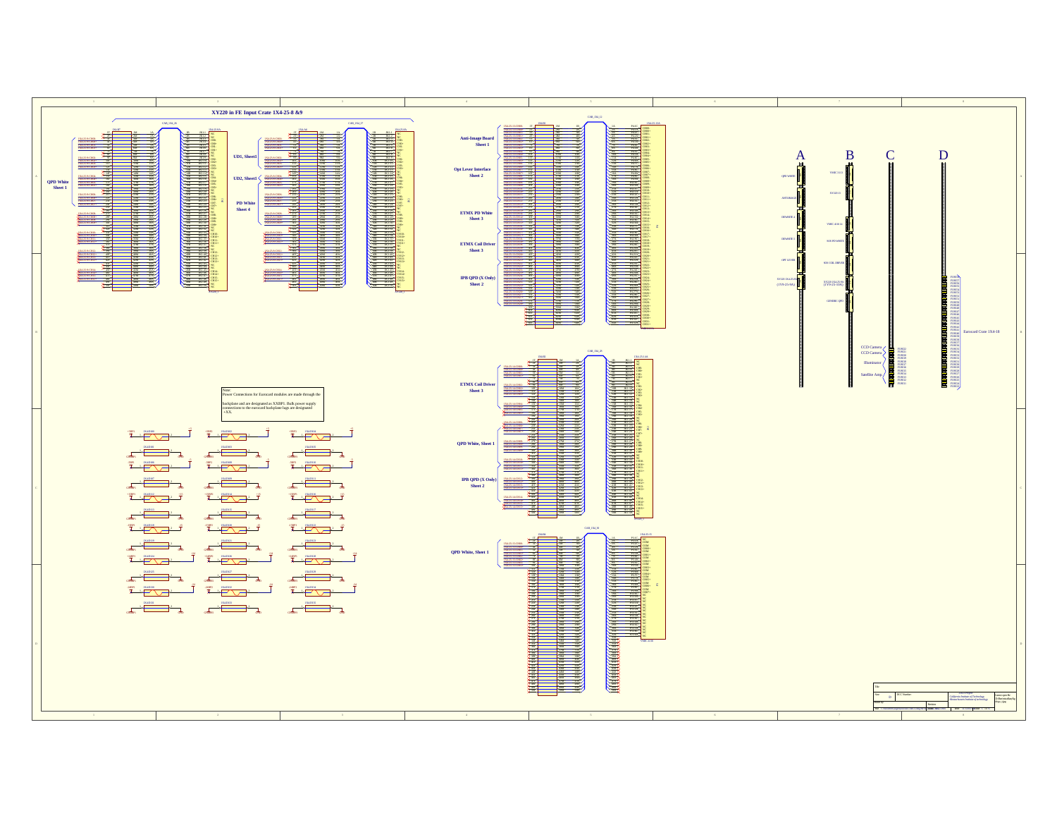